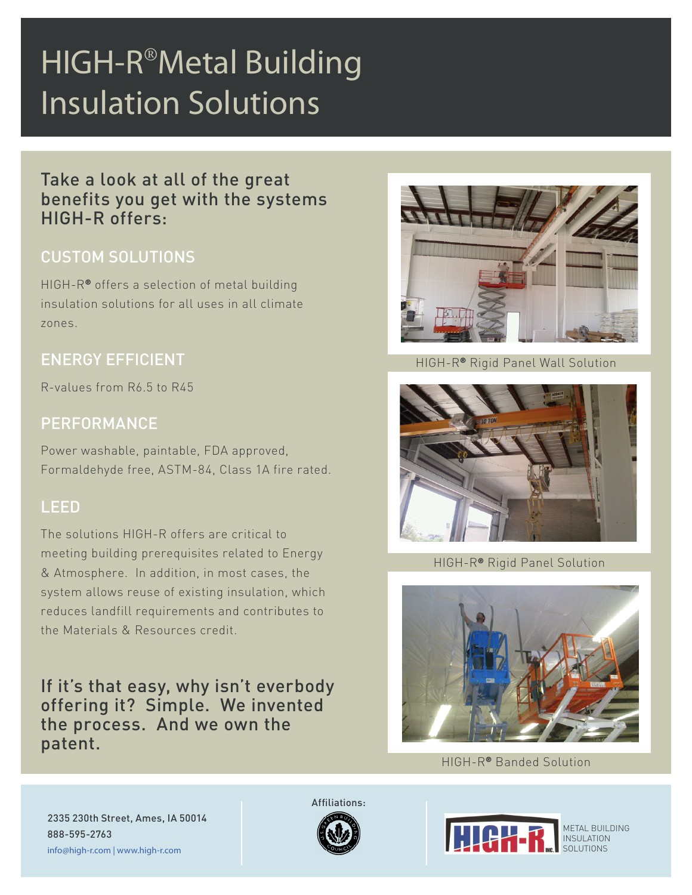# HIGH-R<sup>®</sup>Metal Building Insulation Solutions

Take a look at all of the great benefits you get with the systems HIGH-R offers:

## CUSTOM SOLUTIONS

HIGH-R® offers a selection of metal building insulation solutions for all uses in all climate zones.

#### ENERGY EFFICIENT

R-values from R6.5 to R45

### PERFORMANCE

Power washable, paintable, FDA approved, Formaldehyde free, ASTM-84, Class 1A fire rated.

#### LEED

The solutions HIGH-R offers are critical to meeting building prerequisites related to Energy & Atmosphere. In addition, in most cases, the system allows reuse of existing insulation, which reduces landfill requirements and contributes to the Materials & Resources credit.

If it's that easy, why isn't everbody offering it? Simple. We invented the process. And we own the patent.



HIGH-R® Rigid Panel Wall Solution



HIGH-R® Rigid Panel Solution



HIGH-R® Banded Solution

2335 230th Street, Ames, IA 50014 888-595-2763 info@high-r.com | www.high-r.com